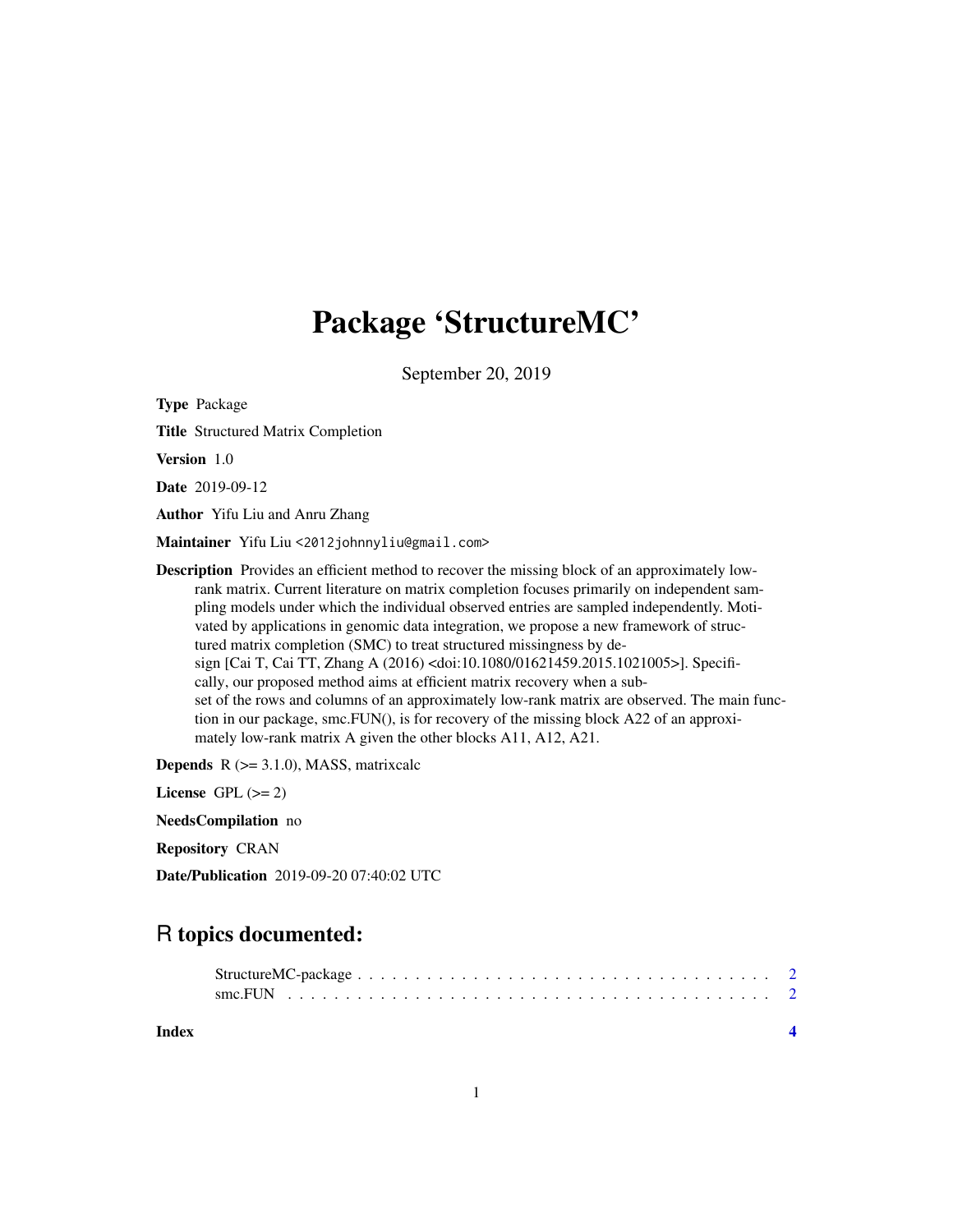## Package 'StructureMC'

September 20, 2019

Type Package

Title Structured Matrix Completion

Version 1.0

Date 2019-09-12

Author Yifu Liu and Anru Zhang

Maintainer Yifu Liu <2012johnnyliu@gmail.com>

**Description** Provides an efficient method to recover the missing block of an approximately lowrank matrix. Current literature on matrix completion focuses primarily on independent sampling models under which the individual observed entries are sampled independently. Motivated by applications in genomic data integration, we propose a new framework of structured matrix completion (SMC) to treat structured missingness by design [Cai T, Cai TT, Zhang A (2016) <doi:10.1080/01621459.2015.1021005>]. Specifically, our proposed method aims at efficient matrix recovery when a subset of the rows and columns of an approximately low-rank matrix are observed. The main function in our package, smc.FUN(), is for recovery of the missing block A22 of an approximately low-rank matrix A given the other blocks A11, A12, A21.

**Depends**  $R$  ( $>= 3.1.0$ ), MASS, matrixcalc

License GPL  $(>= 2)$ 

NeedsCompilation no

Repository CRAN

Date/Publication 2019-09-20 07:40:02 UTC

### R topics documented:

| Index |  |  |  |  |  |  |  |  |  |  |  |  |  |  |  |
|-------|--|--|--|--|--|--|--|--|--|--|--|--|--|--|--|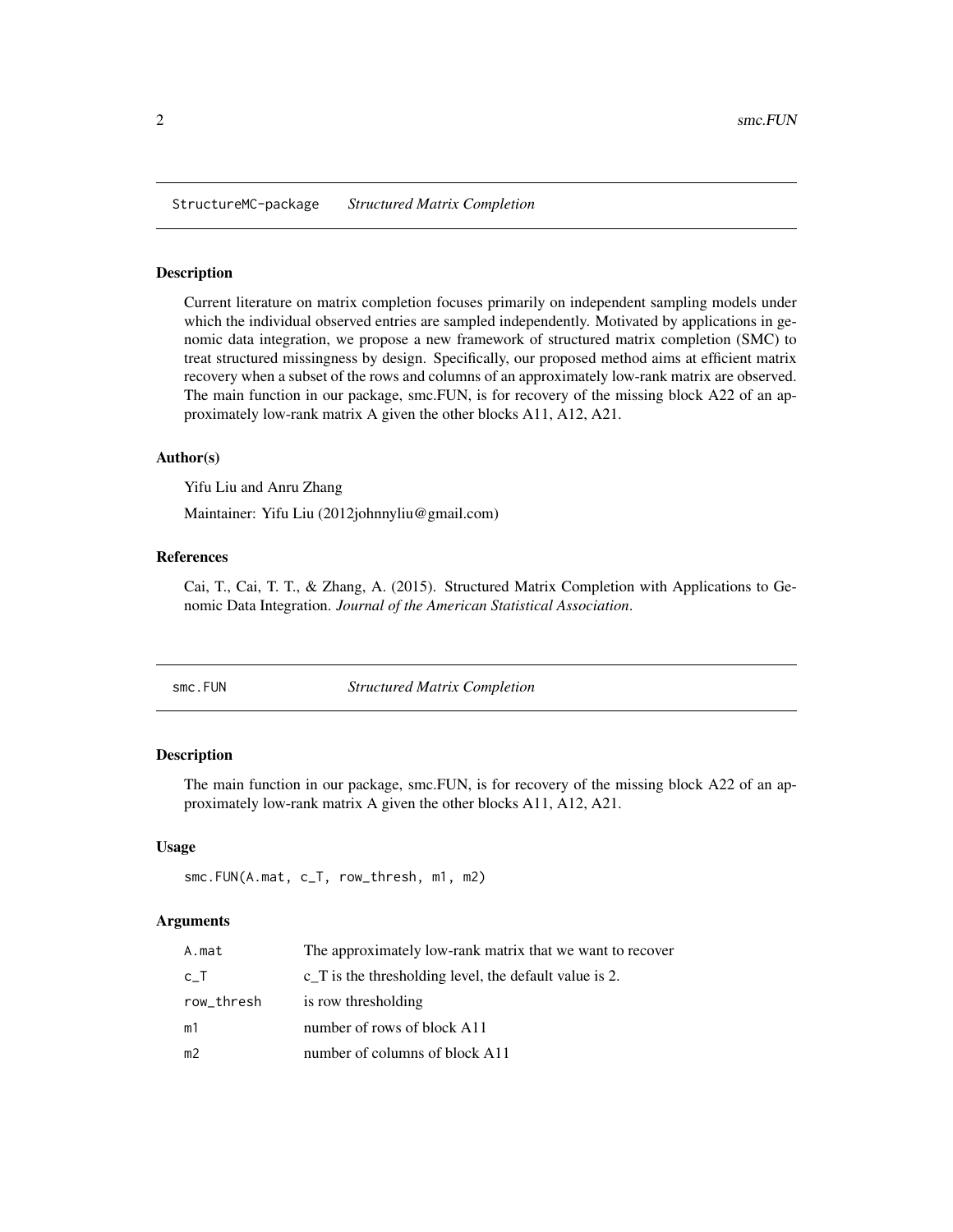<span id="page-1-0"></span>StructureMC-package *Structured Matrix Completion*

#### Description

Current literature on matrix completion focuses primarily on independent sampling models under which the individual observed entries are sampled independently. Motivated by applications in genomic data integration, we propose a new framework of structured matrix completion (SMC) to treat structured missingness by design. Specifically, our proposed method aims at efficient matrix recovery when a subset of the rows and columns of an approximately low-rank matrix are observed. The main function in our package, smc.FUN, is for recovery of the missing block A22 of an approximately low-rank matrix A given the other blocks A11, A12, A21.

#### Author(s)

Yifu Liu and Anru Zhang

Maintainer: Yifu Liu (2012johnnyliu@gmail.com)

#### References

Cai, T., Cai, T. T., & Zhang, A. (2015). Structured Matrix Completion with Applications to Genomic Data Integration. *Journal of the American Statistical Association*.

smc.FUN *Structured Matrix Completion*

#### Description

The main function in our package, smc.FUN, is for recovery of the missing block A22 of an approximately low-rank matrix A given the other blocks A11, A12, A21.

#### Usage

```
smc.FUN(A.mat, c_T, row_thresh, m1, m2)
```
#### Arguments

| A.mat      | The approximately low-rank matrix that we want to recover        |
|------------|------------------------------------------------------------------|
| c_T        | $\tilde{C}$ T is the thresholding level, the default value is 2. |
| row_thresh | is row thresholding                                              |
| m1         | number of rows of block A11                                      |
| m2         | number of columns of block A11                                   |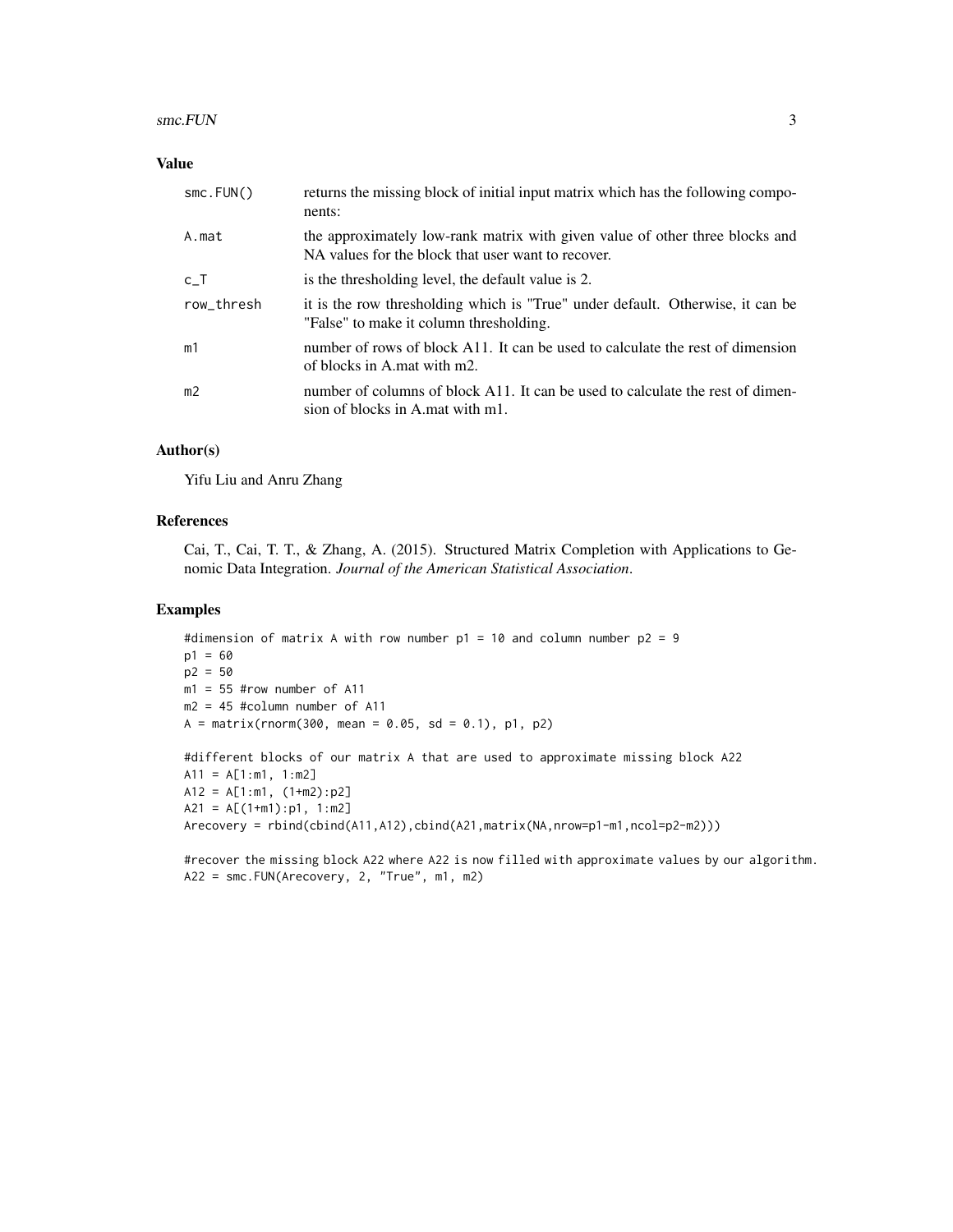#### Value

| smc.FUN()      | returns the missing block of initial input matrix which has the following compo-<br>nents:                                         |
|----------------|------------------------------------------------------------------------------------------------------------------------------------|
| A.mat          | the approximately low-rank matrix with given value of other three blocks and<br>NA values for the block that user want to recover. |
| c T            | is the thresholding level, the default value is 2.                                                                                 |
| row_thresh     | it is the row thresholding which is "True" under default. Otherwise, it can be<br>"False" to make it column thresholding.          |
| m1             | number of rows of block A11. It can be used to calculate the rest of dimension<br>of blocks in A mat with m2.                      |
| m <sub>2</sub> | number of columns of block A11. It can be used to calculate the rest of dimen-<br>sion of blocks in A mat with m1.                 |

#### Author(s)

Yifu Liu and Anru Zhang

#### References

Cai, T., Cai, T. T., & Zhang, A. (2015). Structured Matrix Completion with Applications to Genomic Data Integration. *Journal of the American Statistical Association*.

#### Examples

```
#dimension of matrix A with row number p1 = 10 and column number p2 = 9
p1 = 60
p2 = 50
m1 = 55 #row number of A11
m2 = 45 #column number of A11
A = matrix(rnorm(300, mean = 0.05, sd = 0.1), p1, p2)
```

```
#different blocks of our matrix A that are used to approximate missing block A22
A11 = A[1:m1, 1:m2]A12 = A[1:m1, (1+m2):p2]A21 = A[(1+m1):p1, 1:m2]Arecovery = rbind(cbind(A11,A12),cbind(A21,matrix(NA,nrow=p1-m1,ncol=p2-m2)))
```
#recover the missing block A22 where A22 is now filled with approximate values by our algorithm. A22 = smc.FUN(Arecovery, 2, "True", m1, m2)